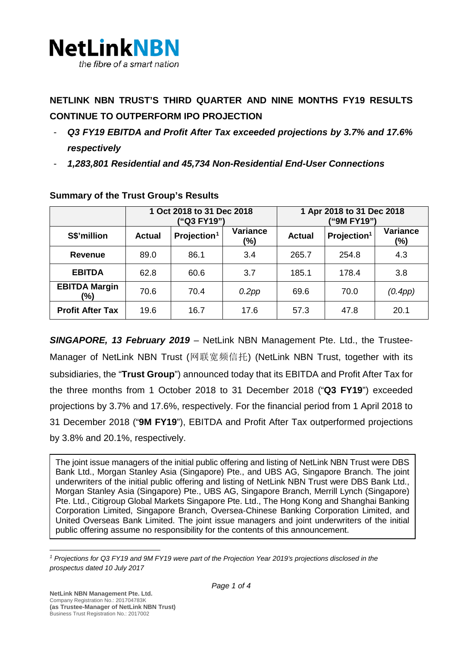

# **NETLINK NBN TRUST'S THIRD QUARTER AND NINE MONTHS FY19 RESULTS CONTINUE TO OUTPERFORM IPO PROJECTION**

- *Q3 FY19 EBITDA and Profit After Tax exceeded projections by 3.7% and 17.6% respectively*
- *1,283,801 Residential and 45,734 Non-Residential End-User Connections*

|                             | 1 Oct 2018 to 31 Dec 2018<br>("Q3 FY19") |                         |                           | 1 Apr 2018 to 31 Dec 2018<br>("9M FY19") |                         |                        |
|-----------------------------|------------------------------------------|-------------------------|---------------------------|------------------------------------------|-------------------------|------------------------|
| S\$'million                 | <b>Actual</b>                            | Projection <sup>1</sup> | <b>Variance</b><br>$(\%)$ | <b>Actual</b>                            | Projection <sup>1</sup> | <b>Variance</b><br>(%) |
| Revenue                     | 89.0                                     | 86.1                    | 3.4                       | 265.7                                    | 254.8                   | 4.3                    |
| <b>EBITDA</b>               | 62.8                                     | 60.6                    | 3.7                       | 185.1                                    | 178.4                   | 3.8                    |
| <b>EBITDA Margin</b><br>(%) | 70.6                                     | 70.4                    | 0.2pp                     | 69.6                                     | 70.0                    | (0.4pp)                |
| <b>Profit After Tax</b>     | 19.6                                     | 16.7                    | 17.6                      | 57.3                                     | 47.8                    | 20.1                   |

## **Summary of the Trust Group's Results**

*SINGAPORE, 13 February 2019 –* NetLink NBN Management Pte. Ltd., the Trustee-Manager of NetLink NBN Trust (网联宽频信托) (NetLink NBN Trust, together with its subsidiaries, the "**Trust Group**") announced today that its EBITDA and Profit After Tax for the three months from 1 October 2018 to 31 December 2018 ("**Q3 FY19**") exceeded projections by 3.7% and 17.6%, respectively. For the financial period from 1 April 2018 to 31 December 2018 ("**9M FY19**"), EBITDA and Profit After Tax outperformed projections by 3.8% and 20.1%, respectively.

The joint issue managers of the initial public offering and listing of NetLink NBN Trust were DBS Bank Ltd., Morgan Stanley Asia (Singapore) Pte., and UBS AG, Singapore Branch. The joint underwriters of the initial public offering and listing of NetLink NBN Trust were DBS Bank Ltd., Morgan Stanley Asia (Singapore) Pte., UBS AG, Singapore Branch, Merrill Lynch (Singapore) Pte. Ltd., Citigroup Global Markets Singapore Pte. Ltd., The Hong Kong and Shanghai Banking Corporation Limited, Singapore Branch, Oversea-Chinese Banking Corporation Limited, and United Overseas Bank Limited. The joint issue managers and joint underwriters of the initial public offering assume no responsibility for the contents of this announcement.

<span id="page-0-0"></span>*<sup>1</sup> Projections for Q3 FY19 and 9M FY19 were part of the Projection Year 2019's projections disclosed in the prospectus dated 10 July 2017*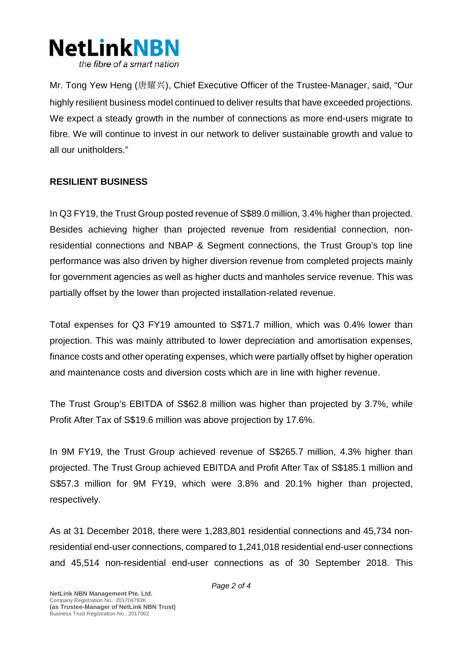

Mr. Tong Yew Heng (唐耀兴), Chief Executive Officer of the Trustee-Manager, said, "Our highly resilient business model continued to deliver results that have exceeded projections. We expect a steady growth in the number of connections as more end-users migrate to fibre. We will continue to invest in our network to deliver sustainable growth and value to all our unitholders."

#### **RESILIENT BUSINESS**

In Q3 FY19, the Trust Group posted revenue of S\$89.0 million, 3.4% higher than projected. Besides achieving higher than projected revenue from residential connection, nonresidential connections and NBAP & Segment connections, the Trust Group's top line performance was also driven by higher diversion revenue from completed projects mainly for government agencies as well as higher ducts and manholes service revenue. This was partially offset by the lower than projected installation-related revenue.

Total expenses for Q3 FY19 amounted to S\$71.7 million, which was 0.4% lower than projection. This was mainly attributed to lower depreciation and amortisation expenses, finance costs and other operating expenses, which were partially offset by higher operation and maintenance costs and diversion costs which are in line with higher revenue.

The Trust Group's EBITDA of S\$62.8 million was higher than projected by 3.7%, while Profit After Tax of S\$19.6 million was above projection by 17.6%.

In 9M FY19, the Trust Group achieved revenue of S\$265.7 million, 4.3% higher than projected. The Trust Group achieved EBITDA and Profit After Tax of S\$185.1 million and S\$57.3 million for 9M FY19, which were 3.8% and 20.1% higher than projected, respectively.

As at 31 December 2018, there were 1,283,801 residential connections and 45,734 nonresidential end-user connections, compared to 1,241,018 residential end-user connections and 45,514 non-residential end-user connections as of 30 September 2018. This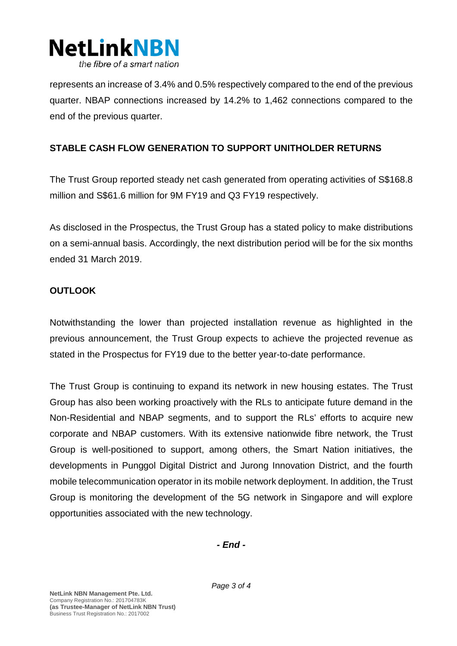

represents an increase of 3.4% and 0.5% respectively compared to the end of the previous quarter. NBAP connections increased by 14.2% to 1,462 connections compared to the end of the previous quarter.

#### **STABLE CASH FLOW GENERATION TO SUPPORT UNITHOLDER RETURNS**

The Trust Group reported steady net cash generated from operating activities of S\$168.8 million and S\$61.6 million for 9M FY19 and Q3 FY19 respectively.

As disclosed in the Prospectus, the Trust Group has a stated policy to make distributions on a semi-annual basis. Accordingly, the next distribution period will be for the six months ended 31 March 2019.

### **OUTLOOK**

Notwithstanding the lower than projected installation revenue as highlighted in the previous announcement, the Trust Group expects to achieve the projected revenue as stated in the Prospectus for FY19 due to the better year-to-date performance.

The Trust Group is continuing to expand its network in new housing estates. The Trust Group has also been working proactively with the RLs to anticipate future demand in the Non-Residential and NBAP segments, and to support the RLs' efforts to acquire new corporate and NBAP customers. With its extensive nationwide fibre network, the Trust Group is well-positioned to support, among others, the Smart Nation initiatives, the developments in Punggol Digital District and Jurong Innovation District, and the fourth mobile telecommunication operator in its mobile network deployment. In addition, the Trust Group is monitoring the development of the 5G network in Singapore and will explore opportunities associated with the new technology.

*- End -*